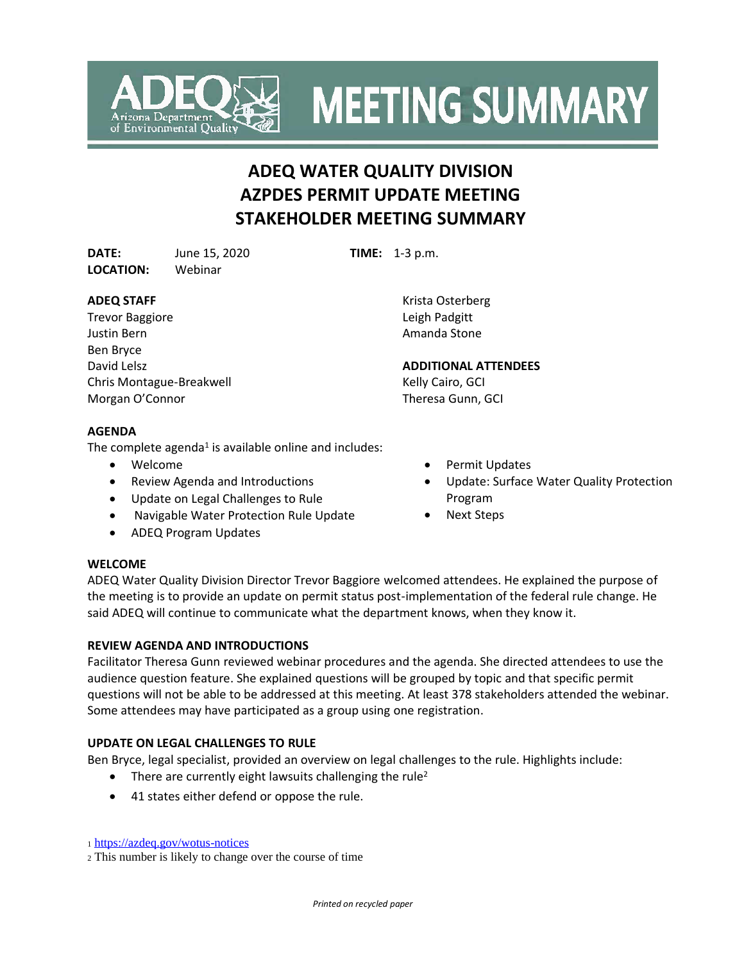# **ADEQ WATER QUALITY DIVISION AZPDES PERMIT UPDATE MEETING STAKEHOLDER MEETING SUMMARY**

**DATE:** June 15, 2020 **TIME:** 1-3 p.m. **LOCATION:** Webinar

**Environmental Quality** 

## **ADEQ STAFF**

Trevor Baggiore Justin Bern Ben Bryce David Lelsz Chris Montague-Breakwell Morgan O'Connor

**AGENDA**

The complete agenda<sup>1</sup> is available online and includes:

- Welcome
- Review Agenda and Introductions
- Update on Legal Challenges to Rule
- Navigable Water Protection Rule Update
- ADEQ Program Updates

**ADDITIONAL ATTENDEES** Kelly Cairo, GCI Theresa Gunn, GCI

Krista Osterberg Leigh Padgitt Amanda Stone

Permit Updates

**MEETING SUMMARY** 

- Update: Surface Water Quality Protection Program
- Next Steps

#### **WELCOME**

ADEQ Water Quality Division Director Trevor Baggiore welcomed attendees. He explained the purpose of the meeting is to provide an update on permit status post-implementation of the federal rule change. He said ADEQ will continue to communicate what the department knows, when they know it.

## **REVIEW AGENDA AND INTRODUCTIONS**

Facilitator Theresa Gunn reviewed webinar procedures and the agenda. She directed attendees to use the audience question feature. She explained questions will be grouped by topic and that specific permit questions will not be able to be addressed at this meeting. At least 378 stakeholders attended the webinar. Some attendees may have participated as a group using one registration.

## **UPDATE ON LEGAL CHALLENGES TO RULE**

Ben Bryce, legal specialist, provided an overview on legal challenges to the rule. Highlights include:

- There are currently eight lawsuits challenging the rule<sup>2</sup>
- 41 states either defend or oppose the rule.

<sup>1</sup> <https://azdeq.gov/wotus-notices>

<sup>2</sup> This number is likely to change over the course of time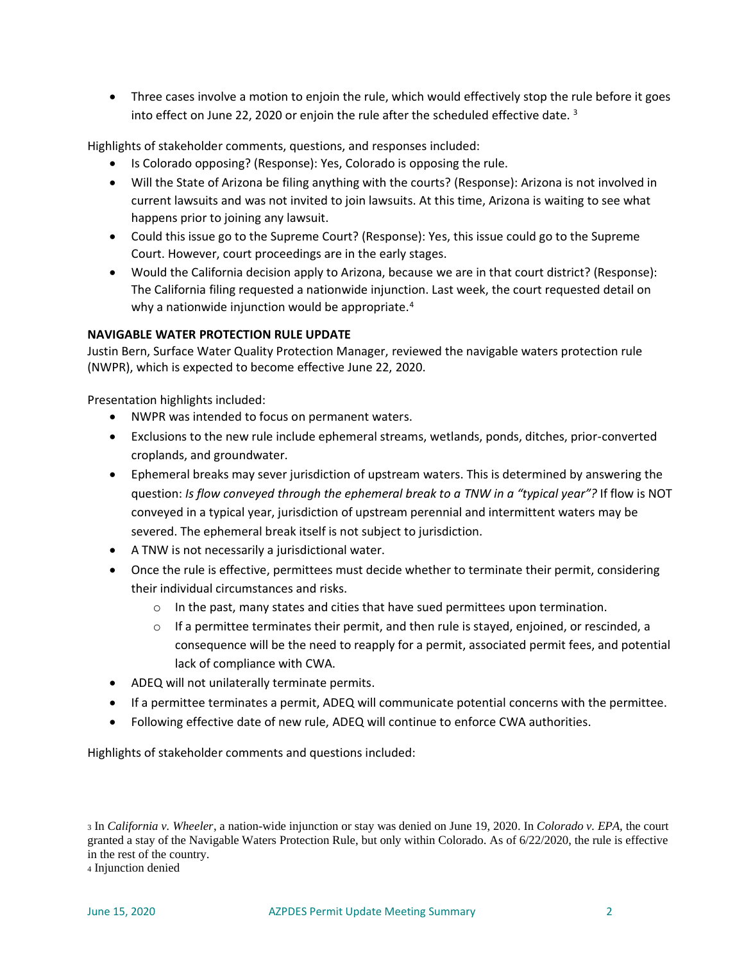• Three cases involve a motion to enjoin the rule, which would effectively stop the rule before it goes into effect on June 22, 2020 or enjoin the rule after the scheduled effective date.<sup>3</sup>

Highlights of stakeholder comments, questions, and responses included:

- Is Colorado opposing? (Response): Yes, Colorado is opposing the rule.
- Will the State of Arizona be filing anything with the courts? (Response): Arizona is not involved in current lawsuits and was not invited to join lawsuits. At this time, Arizona is waiting to see what happens prior to joining any lawsuit.
- Could this issue go to the Supreme Court? (Response): Yes, this issue could go to the Supreme Court. However, court proceedings are in the early stages.
- Would the California decision apply to Arizona, because we are in that court district? (Response): The California filing requested a nationwide injunction. Last week, the court requested detail on why a nationwide injunction would be appropriate.<sup>4</sup>

## **NAVIGABLE WATER PROTECTION RULE UPDATE**

Justin Bern, Surface Water Quality Protection Manager, reviewed the navigable waters protection rule (NWPR), which is expected to become effective June 22, 2020.

Presentation highlights included:

- NWPR was intended to focus on permanent waters.
- Exclusions to the new rule include ephemeral streams, wetlands, ponds, ditches, prior-converted croplands, and groundwater.
- Ephemeral breaks may sever jurisdiction of upstream waters. This is determined by answering the question: *Is flow conveyed through the ephemeral break to a TNW in a "typical year"?* If flow is NOT conveyed in a typical year, jurisdiction of upstream perennial and intermittent waters may be severed. The ephemeral break itself is not subject to jurisdiction.
- A TNW is not necessarily a jurisdictional water.
- Once the rule is effective, permittees must decide whether to terminate their permit, considering their individual circumstances and risks.
	- o In the past, many states and cities that have sued permittees upon termination.
	- $\circ$  If a permittee terminates their permit, and then rule is stayed, enjoined, or rescinded, a consequence will be the need to reapply for a permit, associated permit fees, and potential lack of compliance with CWA.
- ADEQ will not unilaterally terminate permits.
- If a permittee terminates a permit, ADEQ will communicate potential concerns with the permittee.
- Following effective date of new rule, ADEQ will continue to enforce CWA authorities.

Highlights of stakeholder comments and questions included:

<sup>4</sup> Injunction denied

<sup>3</sup> In *California v. Wheeler*, a nation-wide injunction or stay was denied on June 19, 2020. In *Colorado v. EPA,* the court granted a stay of the Navigable Waters Protection Rule, but only within Colorado. As of 6/22/2020, the rule is effective in the rest of the country.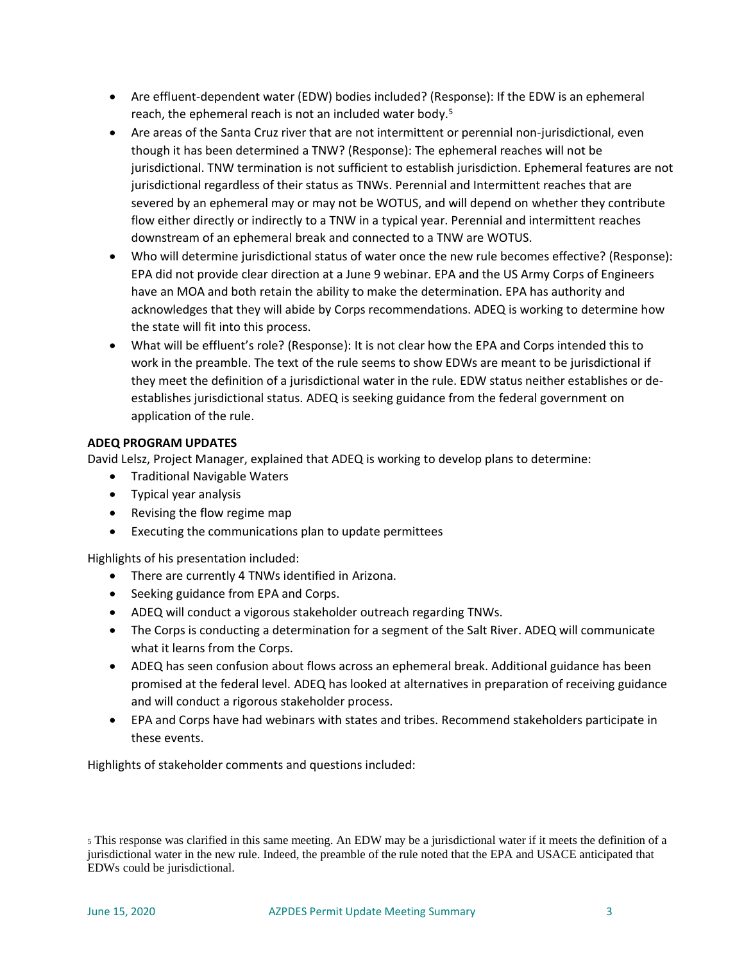- Are effluent-dependent water (EDW) bodies included? (Response): If the EDW is an ephemeral reach, the ephemeral reach is not an included water body.<sup>5</sup>
- Are areas of the Santa Cruz river that are not intermittent or perennial non-jurisdictional, even though it has been determined a TNW? (Response): The ephemeral reaches will not be jurisdictional. TNW termination is not sufficient to establish jurisdiction. Ephemeral features are not jurisdictional regardless of their status as TNWs. Perennial and Intermittent reaches that are severed by an ephemeral may or may not be WOTUS, and will depend on whether they contribute flow either directly or indirectly to a TNW in a typical year. Perennial and intermittent reaches downstream of an ephemeral break and connected to a TNW are WOTUS.
- Who will determine jurisdictional status of water once the new rule becomes effective? (Response): EPA did not provide clear direction at a June 9 webinar. EPA and the US Army Corps of Engineers have an MOA and both retain the ability to make the determination. EPA has authority and acknowledges that they will abide by Corps recommendations. ADEQ is working to determine how the state will fit into this process.
- What will be effluent's role? (Response): It is not clear how the EPA and Corps intended this to work in the preamble. The text of the rule seems to show EDWs are meant to be jurisdictional if they meet the definition of a jurisdictional water in the rule. EDW status neither establishes or deestablishes jurisdictional status. ADEQ is seeking guidance from the federal government on application of the rule.

## **ADEQ PROGRAM UPDATES**

David Lelsz, Project Manager, explained that ADEQ is working to develop plans to determine:

- Traditional Navigable Waters
- Typical year analysis
- Revising the flow regime map
- Executing the communications plan to update permittees

Highlights of his presentation included:

- There are currently 4 TNWs identified in Arizona.
- Seeking guidance from EPA and Corps.
- ADEQ will conduct a vigorous stakeholder outreach regarding TNWs.
- The Corps is conducting a determination for a segment of the Salt River. ADEQ will communicate what it learns from the Corps.
- ADEQ has seen confusion about flows across an ephemeral break. Additional guidance has been promised at the federal level. ADEQ has looked at alternatives in preparation of receiving guidance and will conduct a rigorous stakeholder process.
- EPA and Corps have had webinars with states and tribes. Recommend stakeholders participate in these events.

Highlights of stakeholder comments and questions included:

<sup>5</sup> This response was clarified in this same meeting. An EDW may be a jurisdictional water if it meets the definition of a jurisdictional water in the new rule. Indeed, the preamble of the rule noted that the EPA and USACE anticipated that EDWs could be jurisdictional.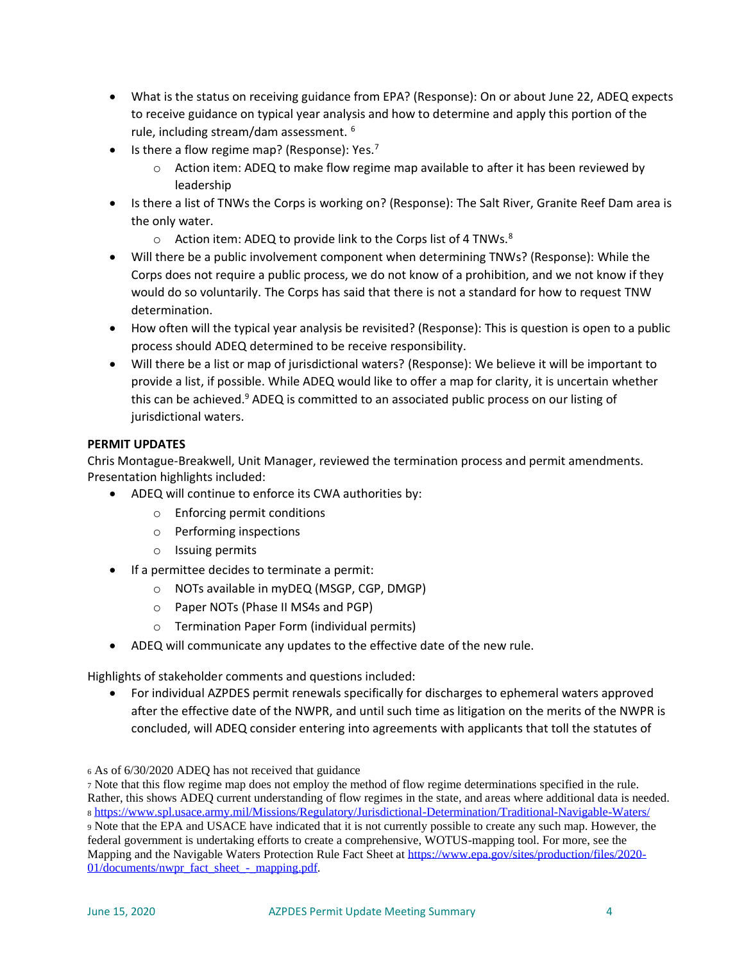- What is the status on receiving guidance from EPA? (Response): On or about June 22, ADEQ expects to receive guidance on typical year analysis and how to determine and apply this portion of the rule, including stream/dam assessment. <sup>6</sup>
- Is there a flow regime map? (Response):  $Yes.^7$ 
	- $\circ$  Action item: ADEQ to make flow regime map available to after it has been reviewed by leadership
- Is there a list of TNWs the Corps is working on? (Response): The Salt River, Granite Reef Dam area is the only water.
	- $\circ$  Action item: ADEQ to provide link to the Corps list of 4 TNWs.<sup>8</sup>
- Will there be a public involvement component when determining TNWs? (Response): While the Corps does not require a public process, we do not know of a prohibition, and we not know if they would do so voluntarily. The Corps has said that there is not a standard for how to request TNW determination.
- How often will the typical year analysis be revisited? (Response): This is question is open to a public process should ADEQ determined to be receive responsibility.
- Will there be a list or map of jurisdictional waters? (Response): We believe it will be important to provide a list, if possible. While ADEQ would like to offer a map for clarity, it is uncertain whether this can be achieved.<sup>9</sup> ADEQ is committed to an associated public process on our listing of jurisdictional waters.

## **PERMIT UPDATES**

Chris Montague-Breakwell, Unit Manager, reviewed the termination process and permit amendments. Presentation highlights included:

- ADEQ will continue to enforce its CWA authorities by:
	- o Enforcing permit conditions
	- o Performing inspections
	- o Issuing permits
- If a permittee decides to terminate a permit:
	- o NOTs available in myDEQ (MSGP, CGP, DMGP)
	- o Paper NOTs (Phase II MS4s and PGP)
	- o Termination Paper Form (individual permits)
- ADEQ will communicate any updates to the effective date of the new rule.

Highlights of stakeholder comments and questions included:

• For individual AZPDES permit renewals specifically for discharges to ephemeral waters approved after the effective date of the NWPR, and until such time as litigation on the merits of the NWPR is concluded, will ADEQ consider entering into agreements with applicants that toll the statutes of

<sup>6</sup> As of 6/30/2020 ADEQ has not received that guidance

<sup>7</sup> Note that this flow regime map does not employ the method of flow regime determinations specified in the rule. Rather, this shows ADEQ current understanding of flow regimes in the state, and areas where additional data is needed. <sup>8</sup> <https://www.spl.usace.army.mil/Missions/Regulatory/Jurisdictional-Determination/Traditional-Navigable-Waters/> <sup>9</sup> Note that the EPA and USACE have indicated that it is not currently possible to create any such map. However, the federal government is undertaking efforts to create a comprehensive, WOTUS-mapping tool. For more, see the Mapping and the Navigable Waters Protection Rule Fact Sheet at [https://www.epa.gov/sites/production/files/2020-](https://www.epa.gov/sites/production/files/2020-01/documents/nwpr_fact_sheet_-_mapping.pdf)

[<sup>01/</sup>documents/nwpr\\_fact\\_sheet\\_-\\_mapping.pdf.](https://www.epa.gov/sites/production/files/2020-01/documents/nwpr_fact_sheet_-_mapping.pdf)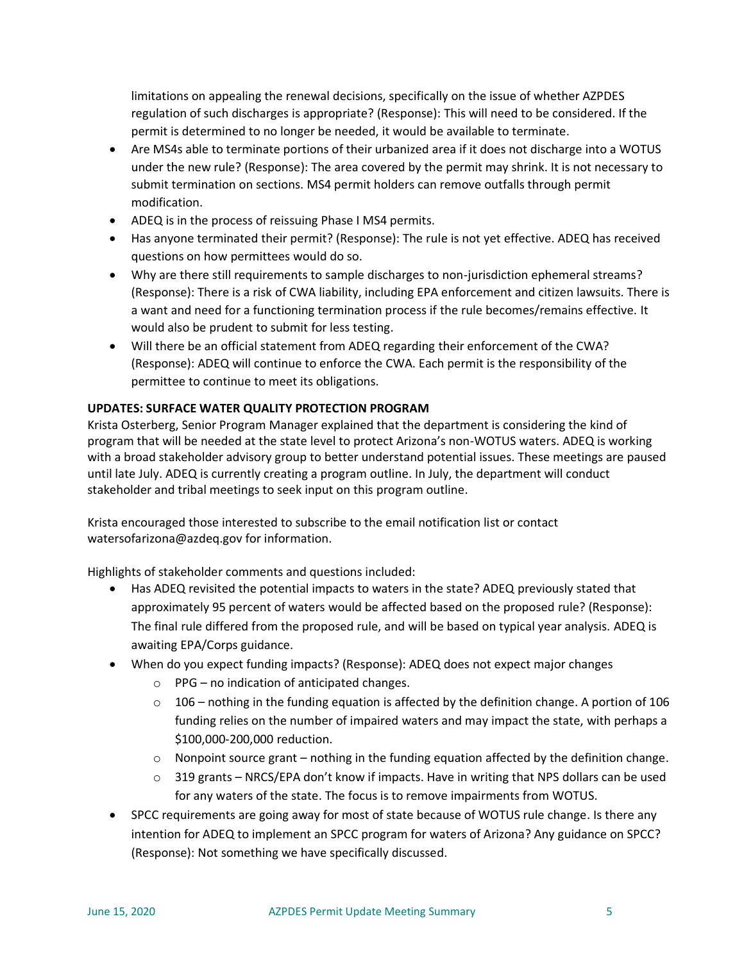limitations on appealing the renewal decisions, specifically on the issue of whether AZPDES regulation of such discharges is appropriate? (Response): This will need to be considered. If the permit is determined to no longer be needed, it would be available to terminate.

- Are MS4s able to terminate portions of their urbanized area if it does not discharge into a WOTUS under the new rule? (Response): The area covered by the permit may shrink. It is not necessary to submit termination on sections. MS4 permit holders can remove outfalls through permit modification.
- ADEQ is in the process of reissuing Phase I MS4 permits.
- Has anyone terminated their permit? (Response): The rule is not yet effective. ADEQ has received questions on how permittees would do so.
- Why are there still requirements to sample discharges to non-jurisdiction ephemeral streams? (Response): There is a risk of CWA liability, including EPA enforcement and citizen lawsuits. There is a want and need for a functioning termination process if the rule becomes/remains effective. It would also be prudent to submit for less testing.
- Will there be an official statement from ADEQ regarding their enforcement of the CWA? (Response): ADEQ will continue to enforce the CWA. Each permit is the responsibility of the permittee to continue to meet its obligations.

## **UPDATES: SURFACE WATER QUALITY PROTECTION PROGRAM**

Krista Osterberg, Senior Program Manager explained that the department is considering the kind of program that will be needed at the state level to protect Arizona's non-WOTUS waters. ADEQ is working with a broad stakeholder advisory group to better understand potential issues. These meetings are paused until late July. ADEQ is currently creating a program outline. In July, the department will conduct stakeholder and tribal meetings to seek input on this program outline.

Krista encouraged those interested to subscribe to the email notification list or contact watersofarizona@azdeq.gov for information.

Highlights of stakeholder comments and questions included:

- Has ADEQ revisited the potential impacts to waters in the state? ADEQ previously stated that approximately 95 percent of waters would be affected based on the proposed rule? (Response): The final rule differed from the proposed rule, and will be based on typical year analysis. ADEQ is awaiting EPA/Corps guidance.
- When do you expect funding impacts? (Response): ADEQ does not expect major changes
	- o PPG no indication of anticipated changes.
	- $\circ$  106 nothing in the funding equation is affected by the definition change. A portion of 106 funding relies on the number of impaired waters and may impact the state, with perhaps a \$100,000-200,000 reduction.
	- $\circ$  Nonpoint source grant nothing in the funding equation affected by the definition change.
	- $\circ$  319 grants NRCS/EPA don't know if impacts. Have in writing that NPS dollars can be used for any waters of the state. The focus is to remove impairments from WOTUS.
- SPCC requirements are going away for most of state because of WOTUS rule change. Is there any intention for ADEQ to implement an SPCC program for waters of Arizona? Any guidance on SPCC? (Response): Not something we have specifically discussed.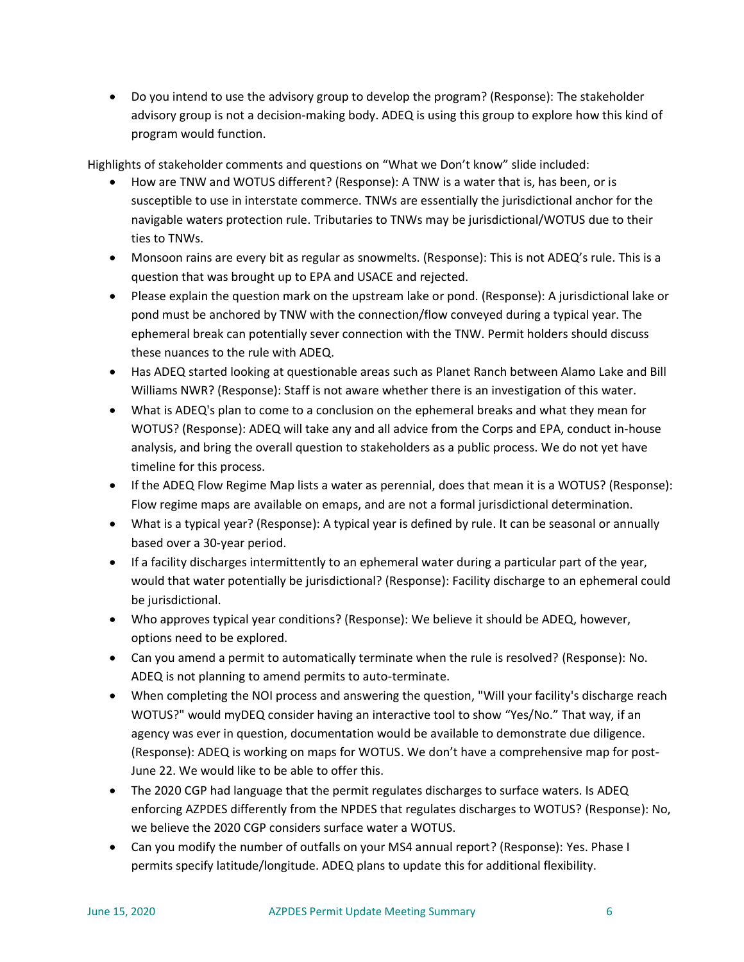• Do you intend to use the advisory group to develop the program? (Response): The stakeholder advisory group is not a decision-making body. ADEQ is using this group to explore how this kind of program would function.

Highlights of stakeholder comments and questions on "What we Don't know" slide included:

- How are TNW and WOTUS different? (Response): A TNW is a water that is, has been, or is susceptible to use in interstate commerce. TNWs are essentially the jurisdictional anchor for the navigable waters protection rule. Tributaries to TNWs may be jurisdictional/WOTUS due to their ties to TNWs.
- Monsoon rains are every bit as regular as snowmelts. (Response): This is not ADEQ's rule. This is a question that was brought up to EPA and USACE and rejected.
- Please explain the question mark on the upstream lake or pond. (Response): A jurisdictional lake or pond must be anchored by TNW with the connection/flow conveyed during a typical year. The ephemeral break can potentially sever connection with the TNW. Permit holders should discuss these nuances to the rule with ADEQ.
- Has ADEQ started looking at questionable areas such as Planet Ranch between Alamo Lake and Bill Williams NWR? (Response): Staff is not aware whether there is an investigation of this water.
- What is ADEQ's plan to come to a conclusion on the ephemeral breaks and what they mean for WOTUS? (Response): ADEQ will take any and all advice from the Corps and EPA, conduct in-house analysis, and bring the overall question to stakeholders as a public process. We do not yet have timeline for this process.
- If the ADEQ Flow Regime Map lists a water as perennial, does that mean it is a WOTUS? (Response): Flow regime maps are available on emaps, and are not a formal jurisdictional determination.
- What is a typical year? (Response): A typical year is defined by rule. It can be seasonal or annually based over a 30-year period.
- If a facility discharges intermittently to an ephemeral water during a particular part of the year, would that water potentially be jurisdictional? (Response): Facility discharge to an ephemeral could be jurisdictional.
- Who approves typical year conditions? (Response): We believe it should be ADEQ, however, options need to be explored.
- Can you amend a permit to automatically terminate when the rule is resolved? (Response): No. ADEQ is not planning to amend permits to auto-terminate.
- When completing the NOI process and answering the question, "Will your facility's discharge reach WOTUS?" would myDEQ consider having an interactive tool to show "Yes/No." That way, if an agency was ever in question, documentation would be available to demonstrate due diligence. (Response): ADEQ is working on maps for WOTUS. We don't have a comprehensive map for post-June 22. We would like to be able to offer this.
- The 2020 CGP had language that the permit regulates discharges to surface waters. Is ADEQ enforcing AZPDES differently from the NPDES that regulates discharges to WOTUS? (Response): No, we believe the 2020 CGP considers surface water a WOTUS.
- Can you modify the number of outfalls on your MS4 annual report? (Response): Yes. Phase I permits specify latitude/longitude. ADEQ plans to update this for additional flexibility.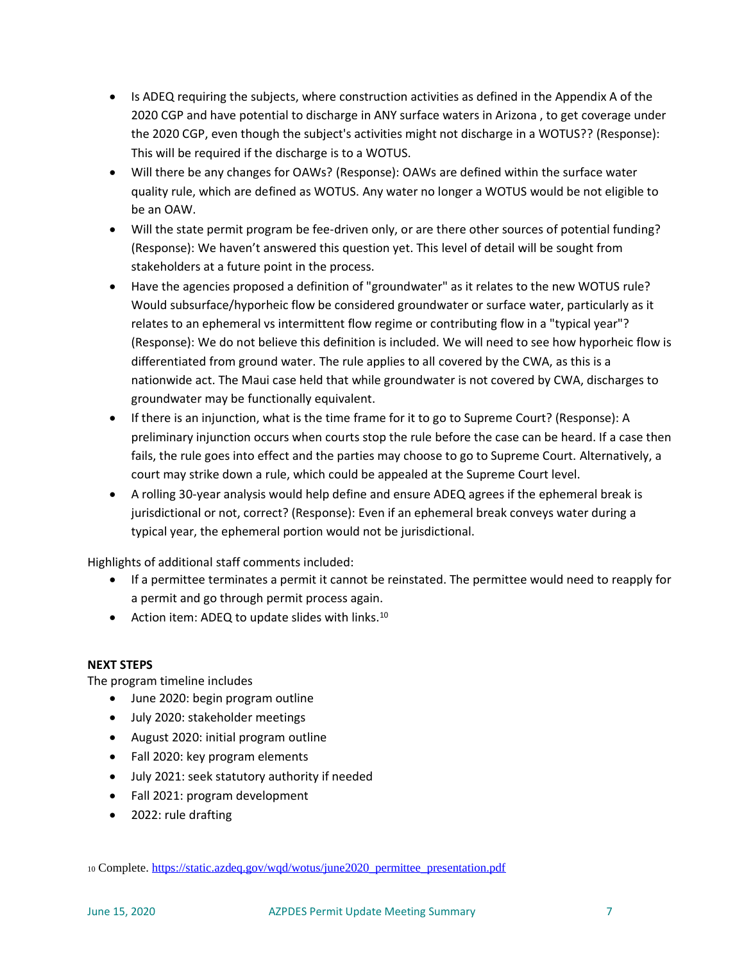- Is ADEQ requiring the subjects, where construction activities as defined in the Appendix A of the 2020 CGP and have potential to discharge in ANY surface waters in Arizona , to get coverage under the 2020 CGP, even though the subject's activities might not discharge in a WOTUS?? (Response): This will be required if the discharge is to a WOTUS.
- Will there be any changes for OAWs? (Response): OAWs are defined within the surface water quality rule, which are defined as WOTUS. Any water no longer a WOTUS would be not eligible to be an OAW.
- Will the state permit program be fee-driven only, or are there other sources of potential funding? (Response): We haven't answered this question yet. This level of detail will be sought from stakeholders at a future point in the process.
- Have the agencies proposed a definition of "groundwater" as it relates to the new WOTUS rule? Would subsurface/hyporheic flow be considered groundwater or surface water, particularly as it relates to an ephemeral vs intermittent flow regime or contributing flow in a "typical year"? (Response): We do not believe this definition is included. We will need to see how hyporheic flow is differentiated from ground water. The rule applies to all covered by the CWA, as this is a nationwide act. The Maui case held that while groundwater is not covered by CWA, discharges to groundwater may be functionally equivalent.
- If there is an injunction, what is the time frame for it to go to Supreme Court? (Response): A preliminary injunction occurs when courts stop the rule before the case can be heard. If a case then fails, the rule goes into effect and the parties may choose to go to Supreme Court. Alternatively, a court may strike down a rule, which could be appealed at the Supreme Court level.
- A rolling 30-year analysis would help define and ensure ADEQ agrees if the ephemeral break is jurisdictional or not, correct? (Response): Even if an ephemeral break conveys water during a typical year, the ephemeral portion would not be jurisdictional.

Highlights of additional staff comments included:

- If a permittee terminates a permit it cannot be reinstated. The permittee would need to reapply for a permit and go through permit process again.
- Action item: ADEQ to update slides with links.<sup>10</sup>

## **NEXT STEPS**

The program timeline includes

- June 2020: begin program outline
- July 2020: stakeholder meetings
- August 2020: initial program outline
- Fall 2020: key program elements
- July 2021: seek statutory authority if needed
- Fall 2021: program development
- 2022: rule drafting

<sup>10</sup> Complete. [https://static.azdeq.gov/wqd/wotus/june2020\\_permittee\\_presentation.pdf](https://static.azdeq.gov/wqd/wotus/june2020_permittee_presentation.pdf)